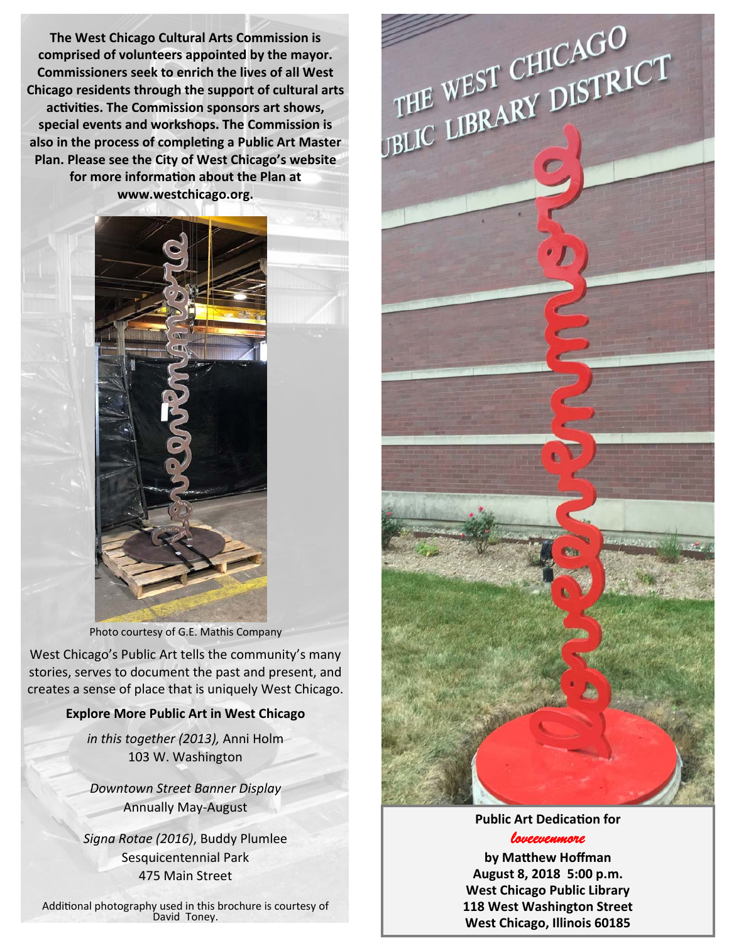**The West Chicago Cultural Arts Commission is comprised of volunteers appointed by the mayor. Commissioners seek to enrich the lives of all West Chicago residents through the support of cultural arts acƟviƟes. The Commission sponsors art shows, special events and workshops. The Commission is also in the process of compleƟng a Public Art Master Plan. Please see the City of West Chicago's website for more informaƟon about the Plan at www.westchicago.org.**



Photo courtesy of G.E. Mathis Company

West Chicago's Public Art tells the community's many stories, serves to document the past and present, and creates a sense of place that is uniquely West Chicago.

## **Explore More Public Art in West Chicago**

*in this together (2013),* Anni Holm 103 W. Washington

*Downtown Street Banner Display* Annually May‐August

*Signa Rotae (2016)*, Buddy Plumlee Sesquicentennial Park 475 Main Street

Additional photography used in this brochure is courtesy of<br>David Toney.



## **Public Art DedicaƟon for**

*loveevenmore* 

**by MaƩhew Hoffman August 8, 2018 5:00 p.m. West Chicago Public Library 118 West Washington Street West Chicago, Illinois 60185**